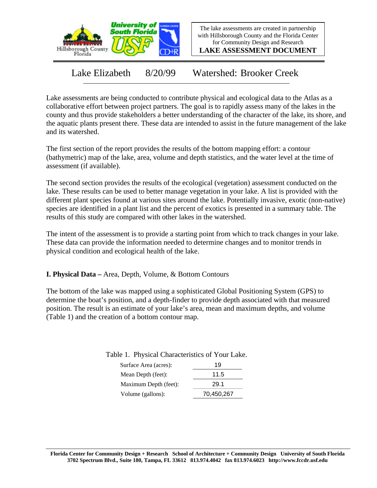

The lake assessments are created in partnership with Hillsborough County and the Florida Center for Community Design and Research

**LAKE ASSESSMENT DOCUMENT**

Lake Elizabeth 8/20/99 Watershed: Brooker Creek

Lake assessments are being conducted to contribute physical and ecological data to the Atlas as a collaborative effort between project partners. The goal is to rapidly assess many of the lakes in the county and thus provide stakeholders a better understanding of the character of the lake, its shore, and the aquatic plants present there. These data are intended to assist in the future management of the lake and its watershed.

The first section of the report provides the results of the bottom mapping effort: a contour (bathymetric) map of the lake, area, volume and depth statistics, and the water level at the time of assessment (if available).

The second section provides the results of the ecological (vegetation) assessment conducted on the lake. These results can be used to better manage vegetation in your lake. A list is provided with the different plant species found at various sites around the lake. Potentially invasive, exotic (non-native) species are identified in a plant list and the percent of exotics is presented in a summary table. The results of this study are compared with other lakes in the watershed.

The intent of the assessment is to provide a starting point from which to track changes in your lake. These data can provide the information needed to determine changes and to monitor trends in physical condition and ecological health of the lake.

**I. Physical Data –** Area, Depth, Volume, & Bottom Contours

The bottom of the lake was mapped using a sophisticated Global Positioning System (GPS) to determine the boat's position, and a depth-finder to provide depth associated with that measured position. The result is an estimate of your lake's area, mean and maximum depths, and volume (Table 1) and the creation of a bottom contour map.

| Surface Area (acres): | 19         |
|-----------------------|------------|
| Mean Depth (feet):    | 11.5       |
| Maximum Depth (feet): | 29.1       |
| Volume (gallons):     | 70,450,267 |

## Table 1. Physical Characteristics of Your Lake.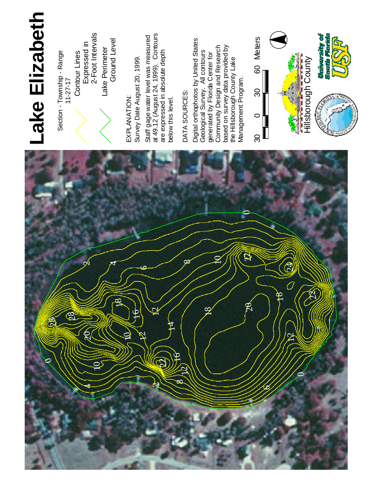

Section - Township - Range 1 1 - 2 7 - 1 7 Contour Lines<br>Expressed in<br>2-Foot Intervals

La k e Perimeter Ground Le v el

E X P L A N ATIO N : S u r v e y Date August 20, 1999.

Staff gage w ater level was measured at 49.12 (August 24, 1999). Contours a r e expressed in a b s olu t e d e p t h

# D AT A SOURCES:

below this level.

Digit al orthophotos b y U nit e d **States** G e olo gic al Survey. All contours generated b y 운 rid a Center for com m u nit y Design a n d **Research** b a s e d o n s u r v e y d a t a provided b y t h e Hillsborough County L a k e Management Program.



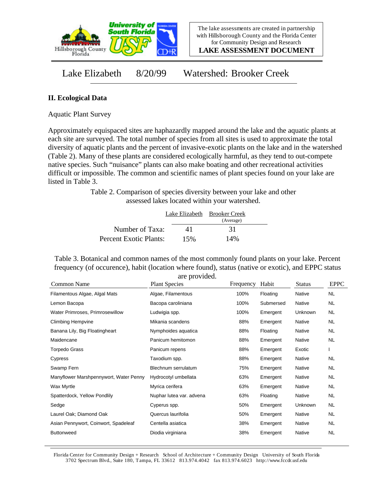

**LAKE ASSESSMENT DOCUMENT**

Lake Elizabeth 8/20/99 Watershed: Brooker Creek

# **II. Ecological Data**

Aquatic Plant Survey

Approximately equispaced sites are haphazardly mapped around the lake and the aquatic plants at each site are surveyed. The total number of species from all sites is used to approximate the total diversity of aquatic plants and the percent of invasive-exotic plants on the lake and in the watershed (Table 2). Many of these plants are considered ecologically harmful, as they tend to out-compete native species. Such "nuisance" plants can also make boating and other recreational activities difficult or impossible. The common and scientific names of plant species found on your lake are listed in Table 3.

> Table 2. Comparison of species diversity between your lake and other assessed lakes located within your watershed.

|                        |     | Lake Elizabeth Brooker Creek |  |
|------------------------|-----|------------------------------|--|
|                        |     | (Average)                    |  |
| Number of Taxa:        | 41  | 31                           |  |
| Percent Exotic Plants: | 15% | 14%                          |  |

Table 3. Botanical and common names of the most commonly found plants on your lake. Percent frequency (of occurence), habit (location where found), status (native or exotic), and EPPC status are provided.

| Common Name                            | <b>Plant Species</b>     | Frequency | Habit     | <b>Status</b> | <b>EPPC</b> |
|----------------------------------------|--------------------------|-----------|-----------|---------------|-------------|
| Filamentous Algae, Algal Mats          | Algae, Filamentous       | 100%      | Floating  | Native        | NL.         |
| Lemon Bacopa                           | Bacopa caroliniana       | 100%      | Submersed | Native        | NL.         |
| Water Primroses, Primrosewillow        | Ludwigia spp.            | 100%      | Emergent  | Unknown       | <b>NL</b>   |
| <b>Climbing Hempvine</b>               | Mikania scandens         | 88%       | Emergent  | Native        | NL.         |
| Banana Lily, Big Floatingheart         | Nymphoides aquatica      | 88%       | Floating  | Native        | <b>NL</b>   |
| Maidencane                             | Panicum hemitomon        | 88%       | Emergent  | Native        | NL          |
| Torpedo Grass                          | Panicum repens           | 88%       | Emergent  | Exotic        |             |
| Cypress                                | Taxodium spp.            | 88%       | Emergent  | Native        | <b>NL</b>   |
| Swamp Fern                             | Blechnum serrulatum      | 75%       | Emergent  | Native        | NL.         |
| Manyflower Marshpennywort, Water Penny | Hydrocotyl umbellata     | 63%       | Emergent  | Native        | <b>NL</b>   |
| Wax Myrtle                             | Myrica cerifera          | 63%       | Emergent  | Native        | NL.         |
| Spatterdock, Yellow Pondlily           | Nuphar lutea var. advena | 63%       | Floating  | Native        | NL.         |
| Sedge                                  | Cyperus spp.             | 50%       | Emergent  | Unknown       | NL.         |
| Laurel Oak; Diamond Oak                | Quercus laurifolia       | 50%       | Emergent  | Native        | NL.         |
| Asian Pennywort, Coinwort, Spadeleaf   | Centella asiatica        | 38%       | Emergent  | Native        | NL.         |
| <b>Buttonweed</b>                      | Diodia virginiana        | 38%       | Emergent  | Native        | <b>NL</b>   |
|                                        |                          |           |           |               |             |

Florida Center for Community Design + Research School of Architecture + Community Design University of South Florida 3702 Spectrum Blvd., Suite 180, Tampa, FL 33612 813.974.4042 fax 813.974.6023 http://www.fccdr.usf.edu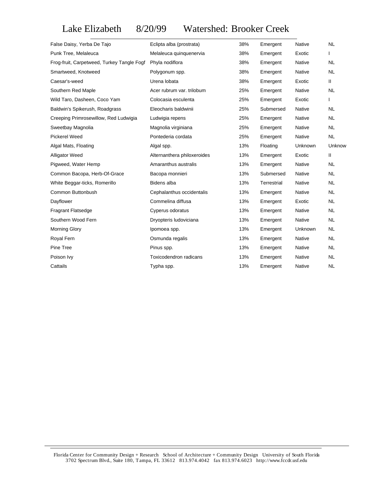# Lake Elizabeth 8/20/99 Watershed: Brooker Creek

| False Daisy, Yerba De Tajo                 | Eclipta alba (prostrata)    | 38% | Emergent    | <b>Native</b> | <b>NL</b>     |
|--------------------------------------------|-----------------------------|-----|-------------|---------------|---------------|
| Punk Tree, Melaleuca                       | Melaleuca quinquenervia     | 38% | Emergent    | Exotic        |               |
| Frog-fruit, Carpetweed, Turkey Tangle Fogf | Phyla nodiflora             | 38% | Emergent    | Native        | <b>NL</b>     |
| Smartweed, Knotweed                        | Polygonum spp.              | 38% | Emergent    | Native        | <b>NL</b>     |
| Caesar's-weed                              | Urena lobata                | 38% | Emergent    | Exotic        | Ш             |
| Southern Red Maple                         | Acer rubrum var. trilobum   | 25% | Emergent    | <b>Native</b> | <b>NL</b>     |
| Wild Taro, Dasheen, Coco Yam               | Colocasia esculenta         | 25% | Emergent    | Exotic        | L             |
| Baldwin's Spikerush, Roadgrass             | Eleocharis baldwinii        | 25% | Submersed   | Native        | <b>NL</b>     |
| Creeping Primrosewillow, Red Ludwigia      | Ludwigia repens             | 25% | Emergent    | Native        | <b>NL</b>     |
| Sweetbay Magnolia                          | Magnolia virginiana         | 25% | Emergent    | Native        | <b>NL</b>     |
| <b>Pickerel Weed</b>                       | Pontederia cordata          | 25% | Emergent    | Native        | <b>NL</b>     |
| Algal Mats, Floating                       | Algal spp.                  | 13% | Floating    | Unknown       | Unknow        |
| <b>Alligator Weed</b>                      | Alternanthera philoxeroides | 13% | Emergent    | Exotic        | $\mathbf{II}$ |
| Pigweed, Water Hemp                        | Amaranthus australis        | 13% | Emergent    | Native        | <b>NL</b>     |
| Common Bacopa, Herb-Of-Grace               | Bacopa monnieri             | 13% | Submersed   | Native        | <b>NL</b>     |
| White Beggar-ticks, Romerillo              | Bidens alba                 | 13% | Terrestrial | Native        | <b>NL</b>     |
| Common Buttonbush                          | Cephalanthus occidentalis   | 13% | Emergent    | Native        | <b>NL</b>     |
| Dayflower                                  | Commelina diffusa           | 13% | Emergent    | Exotic        | <b>NL</b>     |
| <b>Fragrant Flatsedge</b>                  | Cyperus odoratus            | 13% | Emergent    | Native        | <b>NL</b>     |
| Southern Wood Fern                         | Dryopteris ludoviciana      | 13% | Emergent    | Native        | <b>NL</b>     |
| Morning Glory                              | Ipomoea spp.                | 13% | Emergent    | Unknown       | NL.           |
| Royal Fern                                 | Osmunda regalis             | 13% | Emergent    | Native        | <b>NL</b>     |
| Pine Tree                                  | Pinus spp.                  | 13% | Emergent    | Native        | <b>NL</b>     |
| Poison Ivy                                 | Toxicodendron radicans      | 13% | Emergent    | Native        | <b>NL</b>     |
| Cattails                                   | Typha spp.                  | 13% | Emergent    | Native        | <b>NL</b>     |
|                                            |                             |     |             |               |               |